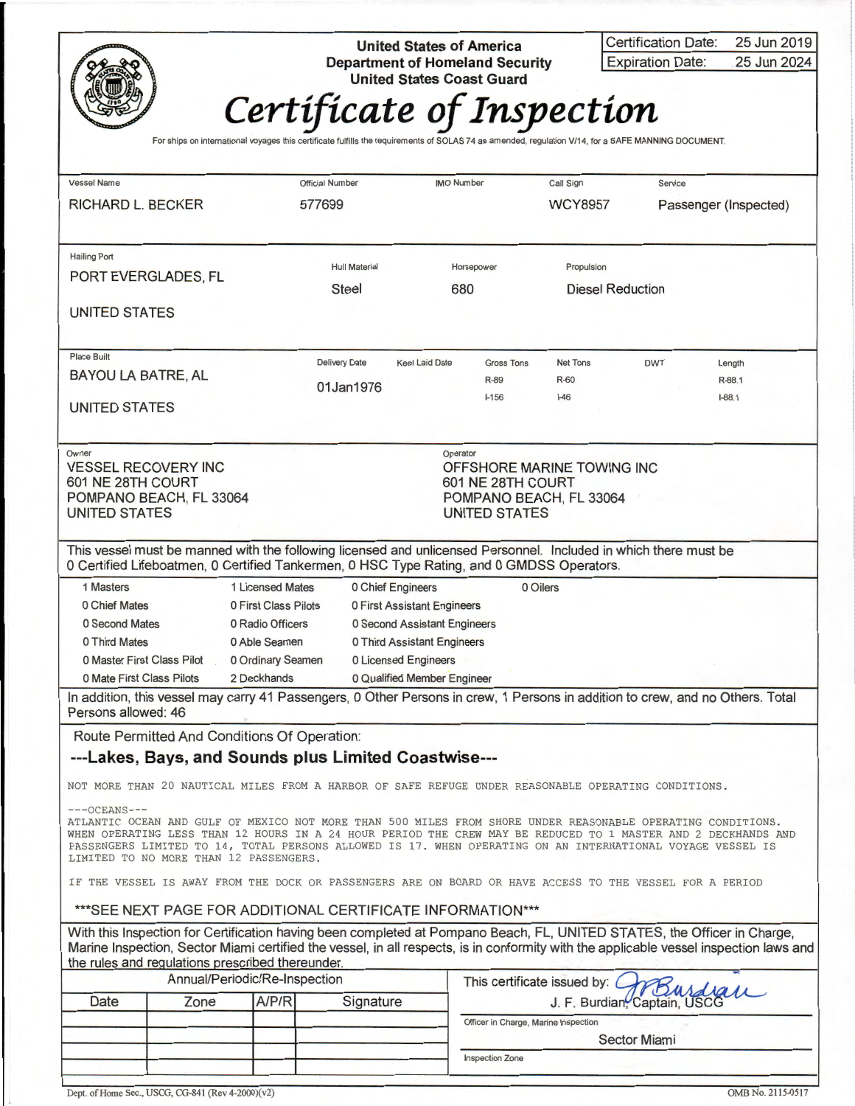

**United States of America Department of Homeland Security<br>United States Coast Guard 4** 20 United States Coast Guard **Microsoft** 

| Certification Date:     | 25 Jun 2019 |
|-------------------------|-------------|
| <b>Expiration Date:</b> | 25 Jun 2024 |

## *Certificate of Inspection* For ships on international voyages this certificate fulfills the requirements of SOLAS 74 as amended, regulation V/14, for a SAFE MANNING DOCUMENT.

| <b>Vessel Name</b>                                      |                                                            |                               | <b>Official Number</b>                                                   |                   | <b>IMO Number</b>     |                                      | Call Sign                                                                                                        | Service             |                                                                                                                                        |  |
|---------------------------------------------------------|------------------------------------------------------------|-------------------------------|--------------------------------------------------------------------------|-------------------|-----------------------|--------------------------------------|------------------------------------------------------------------------------------------------------------------|---------------------|----------------------------------------------------------------------------------------------------------------------------------------|--|
| <b>RICHARD L. BECKER</b>                                |                                                            |                               | 577699                                                                   |                   |                       |                                      | <b>WCY8957</b>                                                                                                   |                     | Passenger (Inspected)                                                                                                                  |  |
|                                                         |                                                            |                               |                                                                          |                   |                       |                                      |                                                                                                                  |                     |                                                                                                                                        |  |
| <b>Hailing Port</b>                                     |                                                            |                               | <b>Hull Material</b>                                                     |                   |                       | Horsepower                           | Propulsion                                                                                                       |                     |                                                                                                                                        |  |
| PORT EVERGLADES, FL                                     |                                                            |                               | <b>Steel</b>                                                             |                   |                       | 680                                  | <b>Diesel Reduction</b>                                                                                          |                     |                                                                                                                                        |  |
| UNITED STATES                                           |                                                            |                               |                                                                          |                   |                       |                                      |                                                                                                                  |                     |                                                                                                                                        |  |
|                                                         |                                                            |                               |                                                                          |                   |                       |                                      |                                                                                                                  |                     |                                                                                                                                        |  |
| <b>Place Built</b>                                      |                                                            |                               |                                                                          |                   |                       |                                      |                                                                                                                  |                     |                                                                                                                                        |  |
| <b>BAYOU LA BATRE, AL</b>                               |                                                            |                               | <b>Delivery Date</b>                                                     |                   | <b>Keel Laid Date</b> | <b>Gross Tons</b><br>R-89            | <b>Net Tons</b><br>R-60                                                                                          | <b>DWT</b>          | Length<br>R-88.1                                                                                                                       |  |
|                                                         |                                                            |                               | 01Jan1976                                                                |                   |                       | $I - 156$                            | –46                                                                                                              |                     | $I-88.1$                                                                                                                               |  |
| UNITED STATES                                           |                                                            |                               |                                                                          |                   |                       |                                      |                                                                                                                  |                     |                                                                                                                                        |  |
|                                                         |                                                            |                               |                                                                          |                   |                       |                                      |                                                                                                                  |                     |                                                                                                                                        |  |
| Owner<br><b>VESSEL RECOVERY INC</b>                     |                                                            |                               |                                                                          |                   | Operator              |                                      | OFFSHORE MARINE TOWING INC                                                                                       |                     |                                                                                                                                        |  |
| 601 NE 28TH COURT                                       |                                                            |                               |                                                                          |                   |                       | 601 NE 28TH COURT                    |                                                                                                                  |                     |                                                                                                                                        |  |
| POMPANO BEACH, FL 33064                                 |                                                            |                               |                                                                          |                   |                       |                                      | POMPANO BEACH, FL 33064                                                                                          |                     |                                                                                                                                        |  |
| UNITED STATES                                           |                                                            |                               |                                                                          |                   |                       | <b>UNITED STATES</b>                 |                                                                                                                  |                     |                                                                                                                                        |  |
|                                                         |                                                            |                               |                                                                          |                   |                       |                                      | This vessel must be manned with the following licensed and unlicensed Personnel. Included in which there must be |                     |                                                                                                                                        |  |
|                                                         |                                                            |                               |                                                                          |                   |                       |                                      | 0 Certified Lifeboatmen, 0 Certified Tankermen, 0 HSC Type Rating, and 0 GMDSS Operators.                        |                     |                                                                                                                                        |  |
| 1 Masters                                               |                                                            | 1 Licensed Mates              |                                                                          | 0 Chief Engineers |                       |                                      | 0 Oilers                                                                                                         |                     |                                                                                                                                        |  |
| 0 Chief Mates                                           |                                                            |                               | 0 First Class Pilots<br>0 First Assistant Engineers                      |                   |                       |                                      |                                                                                                                  |                     |                                                                                                                                        |  |
| 0 Second Mates                                          |                                                            | 0 Radio Officers              | 0 Second Assistant Engineers                                             |                   |                       |                                      |                                                                                                                  |                     |                                                                                                                                        |  |
| 0 Third Mates                                           |                                                            | 0 Able Seamen                 | 0 Third Assistant Engineers                                              |                   |                       |                                      |                                                                                                                  |                     |                                                                                                                                        |  |
| 0 Master First Class Pilot<br>0 Mate First Class Pilots |                                                            | 2 Deckhands                   | 0 Ordinary Seamen<br>0 Licensed Engineers<br>0 Qualified Member Engineer |                   |                       |                                      |                                                                                                                  |                     |                                                                                                                                        |  |
|                                                         |                                                            |                               |                                                                          |                   |                       |                                      |                                                                                                                  |                     | In addition, this vessel may carry 41 Passengers, 0 Other Persons in crew, 1 Persons in addition to crew, and no Others. Total         |  |
| Persons allowed: 46                                     |                                                            |                               |                                                                          |                   |                       |                                      |                                                                                                                  |                     |                                                                                                                                        |  |
|                                                         | Route Permitted And Conditions Of Operation:               |                               |                                                                          |                   |                       |                                      |                                                                                                                  |                     |                                                                                                                                        |  |
|                                                         | ---Lakes, Bays, and Sounds plus Limited Coastwise---       |                               |                                                                          |                   |                       |                                      |                                                                                                                  |                     |                                                                                                                                        |  |
|                                                         |                                                            |                               |                                                                          |                   |                       |                                      | NOT MORE THAN 20 NAUTICAL MILES FROM A HARBOR OF SAFE REFUGE UNDER REASONABLE OPERATING CONDITIONS.              |                     |                                                                                                                                        |  |
| $---OCEANS---$                                          |                                                            |                               |                                                                          |                   |                       |                                      |                                                                                                                  |                     |                                                                                                                                        |  |
|                                                         |                                                            |                               |                                                                          |                   |                       |                                      | ATLANTIC OCEAN AND GULF OF MEXICO NOT MORE THAN 500 MILES FROM SHORE UNDER REASONABLE OPERATING CONDITIONS.      |                     |                                                                                                                                        |  |
|                                                         |                                                            |                               |                                                                          |                   |                       |                                      | PASSENGERS LIMITED TO 14, TOTAL PERSONS ALLOWED IS 17. WHEN OPERATING ON AN INTERNATIONAL VOYAGE VESSEL IS       |                     | WHEN OPERATING LESS THAN 12 HOURS IN A 24 HOUR PERIOD THE CREW MAY BE REDUCED TO 1 MASTER AND 2 DECKHANDS AND                          |  |
|                                                         | LIMITED TO NO MORE THAN 12 PASSENGERS.                     |                               |                                                                          |                   |                       |                                      |                                                                                                                  |                     |                                                                                                                                        |  |
|                                                         |                                                            |                               |                                                                          |                   |                       |                                      | IF THE VESSEL IS AWAY FROM THE DOCK OR PASSENGERS ARE ON BOARD OR HAVE ACCESS TO THE VESSEL FOR A PERIOD         |                     |                                                                                                                                        |  |
|                                                         | ***SEE NEXT PAGE FOR ADDITIONAL CERTIFICATE INFORMATION*** |                               |                                                                          |                   |                       |                                      |                                                                                                                  |                     |                                                                                                                                        |  |
|                                                         |                                                            |                               |                                                                          |                   |                       |                                      |                                                                                                                  |                     | With this Inspection for Certification having been completed at Pompano Beach, FL, UNITED STATES, the Officer in Charge,               |  |
|                                                         | the rules and regulations prescribed thereunder.           |                               |                                                                          |                   |                       |                                      |                                                                                                                  |                     | Marine Inspection, Sector Miami certified the vessel, in all respects, is in conformity with the applicable vessel inspection laws and |  |
|                                                         |                                                            | Annual/Periodic/Re-Inspection |                                                                          |                   |                       |                                      | This certificate issued by:                                                                                      |                     |                                                                                                                                        |  |
| Date                                                    | Zone                                                       | A/P/R                         |                                                                          | Signature         |                       |                                      | J. F. Burdian, Captain, USCG                                                                                     |                     |                                                                                                                                        |  |
|                                                         |                                                            |                               |                                                                          |                   |                       | Officer in Charge, Marine Inspection |                                                                                                                  |                     |                                                                                                                                        |  |
|                                                         |                                                            |                               |                                                                          |                   |                       |                                      |                                                                                                                  | <b>Sector Miami</b> |                                                                                                                                        |  |
|                                                         |                                                            |                               |                                                                          |                   |                       | <b>Inspection Zone</b>               |                                                                                                                  |                     |                                                                                                                                        |  |
|                                                         |                                                            |                               |                                                                          |                   |                       |                                      |                                                                                                                  |                     |                                                                                                                                        |  |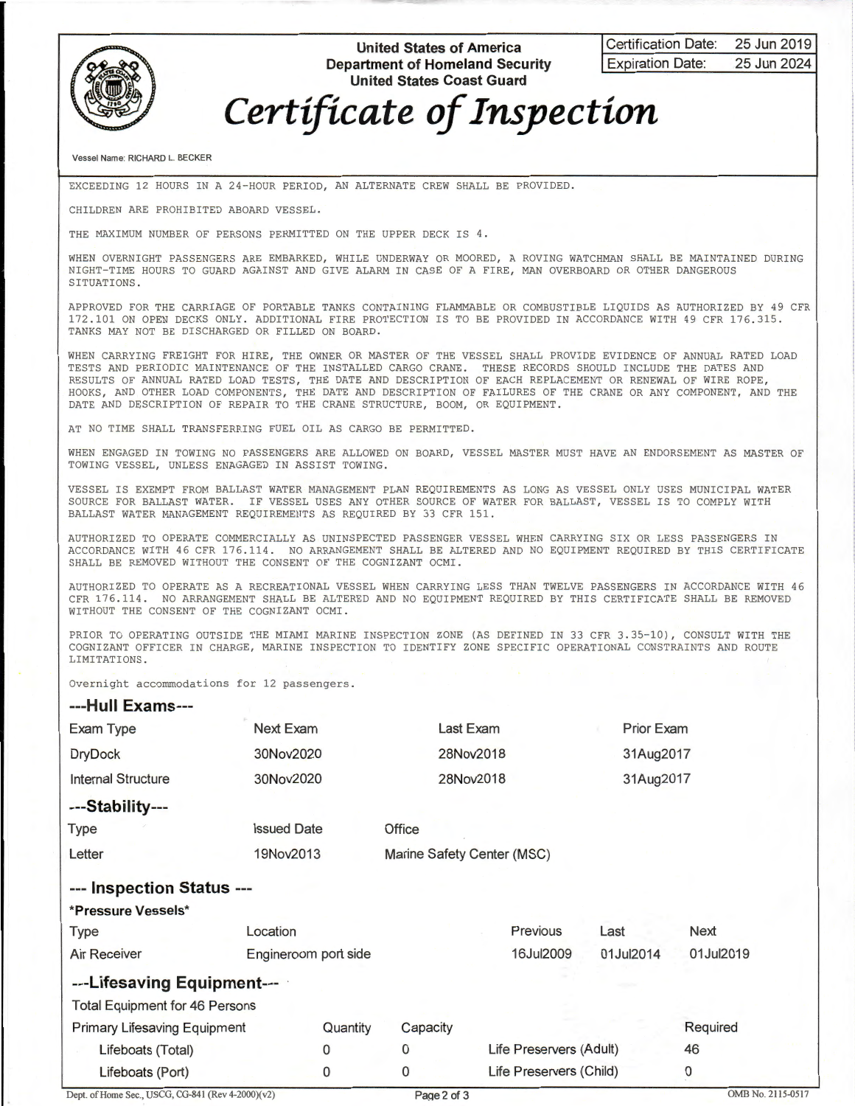

**United States of America Department of Homeland Security United States Coast Guard** 

**Certification Date: 25 Jun 2019 Expiration Date: 25 Jun 2024** 

## *Certificate of Inspection*

Vessel Name: RICHARD L. BECKER

EXCEEDING 12 HOURS IN A 24 - HOUR PERIOD, AN ALTERNATE CREW SHALL BE PROVIDED.

CHILDREN ARE PROHIBITED ABOARD VESSEL .

THE MAXIMUM NUMBER OF PERSONS PERMITTED ON THE UPPER DECK IS 4.

WHEN OVERNIGHT PASSENGERS ARE EMBARKED, WHILE UNDERWAY OR MOORED, A ROVING WATCHMAN SHALL BE MAINTAINED DURING NIGHT-TIME HOURS TO GUARD AGAINST AND GIVE ALARM IN CASE OF A FIRE, MAN OVERBOARD OR OTHER DANGEROUS SITUATIONS.

APPROVED FOR THE CARRIAGE OF PORTABLE TANKS CONTAINING FLAMMABLE OR COMBUSTIBLE LIQUIDS AS AUTHORIZED BY 49 CFR 172 . 101 ON OPEN DECKS ONLY . ADDITIONAL FIRE PROTECTION IS TO BE PROVIDED IN ACCORDANCE WITH 49 CFR 176 . 315. TANKS MAY NOT BE DISCHARGED OR FILLED ON BOARD.

WHEN CARRYING FREIGHT FOR HIRE, THE OWNER OR MASTER OF THE VESSEL SHALL PROVIDE EVIDENCE OF ANNUAL RATED LOAD TESTS AND PERIODIC MAINTENANCE OF THE INSTALLED CARGO CRANE . THESE RECORDS SHOULD INCLUDE THE DATES AND RESULTS OF ANNUAL RATED LOAD TESTS, THE DATE AND DESCRIPTION OF EACH REPLACEMENT OR RENEWAL OF WIRE ROPE, HOOKS, AND OTHER LOAD COMPONENTS , THE DATE AND DESCRIPTION OF FAILURES OF THE CRANE OR ANY COMPONENT, AND THE DATE AND DESCRIPTION OF REPAIR TO THE CRANE STRUCTURE, BOOM, OR EQUIPMENT .

AT NO TIME SHALL TRANSFERRING FUEL OIL AS CARGO BE PERMITTED.

WHEN ENGAGED IN TOWING NO PASSENGERS ARE ALLOWED ON BOARD, VESSEL MASTER MUST HAVE AN ENDORSEMENT AS MASTER OF TOWING VESSEL, UNLESS ENAGAGED IN ASSIST TOWING.

VESSEL IS EXEMPT FROM BALLAST WATER MANAGEMENT PLAN REQUIREMENTS AS LONG AS VESSEL ONLY USES MUNICIPAL WATER SOURCE FOR BALLAST WATER . IF VESSEL USES ANY OTHER SOURCE OF WATER FOR BALLAST, VESSEL IS TO COMPLY WITH BALLAST WATER MANAGEMENT REQUIREMENTS AS REQUIRED BY 33 CFR 151.

AUTHORIZED TO OPERATE COMMERCIALLY AS UNINSPECTED PASSENGER VESSEL WHEN CARRYING SIX OR LESS PASSENGERS IN ACCORDANCE WITH 46 CFR 176.114. NO ARRANGEMENT SHALL BE ALTERED AND NO EQUIPMENT REQUIRED BY THIS CERTIFICATE SHALL BE REMOVED WITHOUT THE CONSENT OF THE COGNIZANT OCMI.

AUTHORIZED TO OPERATE AS A RECREATIONAL VESSEL WHEN CARRYING LESS THAN TWELVE PASSENGERS IN ACCORDANCE WITH 46 CFR 176.114 . NO ARRANGEMENT SHALL BE ALTERED AND NO EQUIPMENT REQUIRED BY THIS CERTIFICATE SHALL BE REMOVED WITHOUT THE CONSENT OF THE COGNIZANT OCMI .

PRIOR TO OPERATING OUTSIDE THE MIAMI MARINE INSPECTION ZONE (AS DEFINED IN 33 CFR 3 . 35-10) , CONSULT WITH THE COGNIZANT OFFICER IN CHARGE , MARINE INSPECTION TO IDENTIFY ZONE SPECIFIC OPERATIONAL CONSTRAINTS AND ROUTE LIMITATIONS.

Overnight accommodations for 12 passengers .

## **---Hull Exams---**

| Exam Type                   | Next Exam          | Last Exam                  | <b>Prior Exam</b> |
|-----------------------------|--------------------|----------------------------|-------------------|
| <b>DryDock</b>              | 30Nov2020          | 28Nov2018                  | 31Aug2017         |
| <b>Internal Structure</b>   | 30Nov2020          | 28Nov2018                  | 31Aug2017         |
| ---Stability---             |                    |                            |                   |
| <b>Type</b>                 | <b>Issued Date</b> | Office                     |                   |
| Letter                      | 19Nov2013          | Marine Safety Center (MSC) |                   |
| <u>__ Inenaction</u> Statue |                    |                            |                   |

|  | --- Inspection Status --- |  |
|--|---------------------------|--|
|  |                           |  |

| *Pressure Vessels*                    |                      |                |          |                         |           |           |  |
|---------------------------------------|----------------------|----------------|----------|-------------------------|-----------|-----------|--|
| <b>Type</b>                           | Location             |                |          | Previous                | Last      | Next      |  |
| <b>Air Receiver</b>                   | Engineroom port side |                |          | 16Jul2009               | 01Jul2014 | 01Jul2019 |  |
| ---Lifesaving Equipment---            |                      |                |          |                         |           |           |  |
| <b>Total Equipment for 46 Persons</b> |                      |                |          |                         |           |           |  |
| Primary Lifesaving Equipment          |                      | Quantity       | Capacity |                         |           | Required  |  |
| Lifeboats (Total)                     |                      | $\overline{0}$ | 0        | Life Preservers (Adult) |           | 46        |  |
| Lifeboats (Port)                      |                      | 0              |          | Life Preservers (Child) |           | 0         |  |